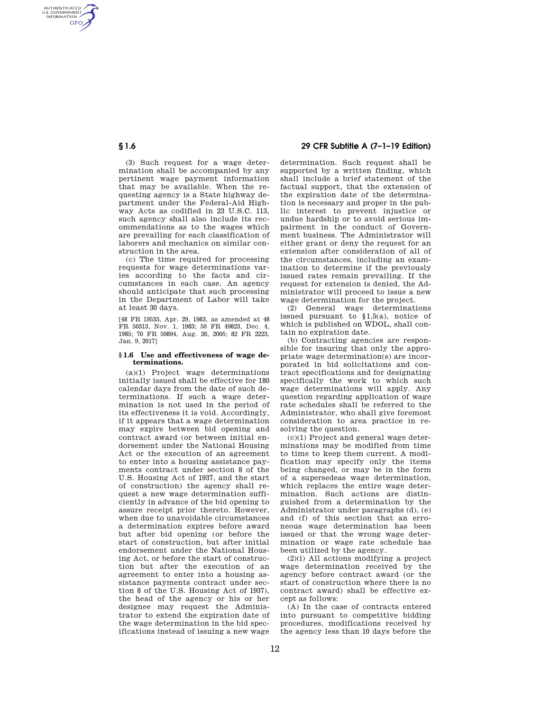AUTHENTICATED<br>U.S. GOVERNMENT<br>INFORMATION **GPO** 

> (3) Such request for a wage determination shall be accompanied by any pertinent wage payment information that may be available. When the requesting agency is a State highway department under the Federal-Aid Highway Acts as codified in 23 U.S.C. 113, such agency shall also include its recommendations as to the wages which are prevailing for each classification of laborers and mechanics on similar construction in the area.

> (c) The time required for processing requests for wage determinations varies according to the facts and circumstances in each case. An agency should anticipate that such processing in the Department of Labor will take at least 30 days.

> [48 FR 19533, Apr. 29, 1983, as amended at 48 FR 50313, Nov. 1, 1983; 50 FR 49823, Dec. 4, 1985; 70 FR 50894, Aug. 26, 2005; 82 FR 2223, Jan. 9, 2017]

## **§ 1.6 Use and effectiveness of wage determinations.**

(a)(1) Project wage determinations initially issued shall be effective for 180 calendar days from the date of such determinations. If such a wage determination is not used in the period of its effectiveness it is void. Accordingly, if it appears that a wage determination may expire between bid opening and contract award (or between initial endorsement under the National Housing Act or the execution of an agreement to enter into a housing assistance payments contract under section 8 of the U.S. Housing Act of 1937, and the start of construction) the agency shall request a new wage determination sufficiently in advance of the bid opening to assure receipt prior thereto. However, when due to unavoidable circumstances a determination expires before award but after bid opening (or before the start of construction, but after initial endorsement under the National Housing Act, or before the start of construction but after the execution of an agreement to enter into a housing assistance payments contract under section 8 of the U.S. Housing Act of 1937), the head of the agency or his or her designee may request the Administrator to extend the expiration date of the wage determination in the bid specifications instead of issuing a new wage

# **§ 1.6 29 CFR Subtitle A (7–1–19 Edition)**

determination. Such request shall be supported by a written finding, which shall include a brief statement of the factual support, that the extension of the expiration date of the determination is necessary and proper in the public interest to prevent injustice or undue hardship or to avoid serious impairment in the conduct of Government business. The Administrator will either grant or deny the request for an extension after consideration of all of the circumstances, including an examination to determine if the previously issued rates remain prevailing. If the request for extension is denied, the Administrator will proceed to issue a new wage determination for the project.

(2) General wage determinations issued pursuant to  $$1.5(a)$ , notice of which is published on WDOL, shall contain no expiration date.

(b) Contracting agencies are responsible for insuring that only the appropriate wage determination(s) are incorporated in bid solicitations and contract specifications and for designating specifically the work to which such wage determinations will apply. Any question regarding application of wage rate schedules shall be referred to the Administrator, who shall give foremost consideration to area practice in resolving the question.

(c)(1) Project and general wage determinations may be modified from time to time to keep them current. A modification may specify only the items being changed, or may be in the form of a supersedeas wage determination, which replaces the entire wage determination. Such actions are distinguished from a determination by the Administrator under paragraphs (d), (e) and (f) of this section that an erroneous wage determination has been issued or that the wrong wage determination or wage rate schedule has been utilized by the agency.

(2)(i) All actions modifying a project wage determination received by the agency before contract award (or the start of construction where there is no contract award) shall be effective except as follows:

(A) In the case of contracts entered into pursuant to competitive bidding procedures, modifications received by the agency less than 10 days before the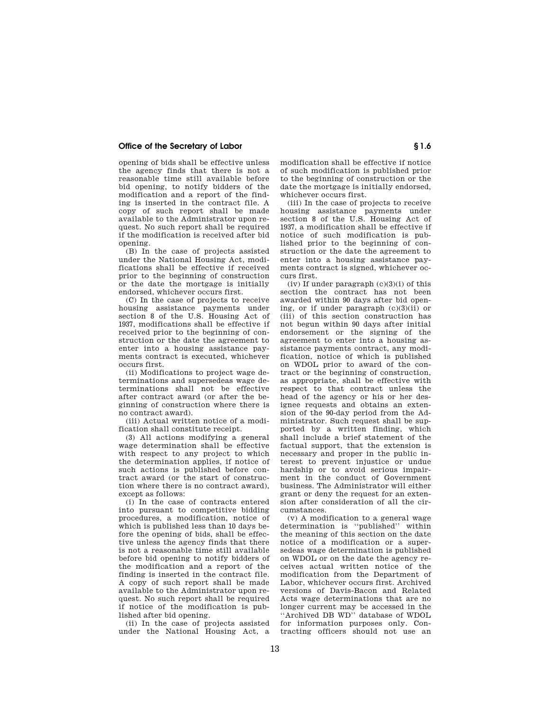## **Office of the Secretary of Labor § 1.6 § 1.6**

opening of bids shall be effective unless the agency finds that there is not a reasonable time still available before bid opening, to notify bidders of the modification and a report of the finding is inserted in the contract file. A copy of such report shall be made available to the Administrator upon request. No such report shall be required if the modification is received after bid opening.

(B) In the case of projects assisted under the National Housing Act, modifications shall be effective if received prior to the beginning of construction or the date the mortgage is initially endorsed, whichever occurs first.

(C) In the case of projects to receive housing assistance payments under section 8 of the U.S. Housing Act of 1937, modifications shall be effective if received prior to the beginning of construction or the date the agreement to enter into a housing assistance payments contract is executed, whichever occurs first.

(ii) Modifications to project wage determinations and supersedeas wage determinations shall not be effective after contract award (or after the beginning of construction where there is no contract award).

(iii) Actual written notice of a modification shall constitute receipt.

(3) All actions modifying a general wage determination shall be effective with respect to any project to which the determination applies, if notice of such actions is published before contract award (or the start of construction where there is no contract award), except as follows:

(i) In the case of contracts entered into pursuant to competitive bidding procedures, a modification, notice of which is published less than 10 days before the opening of bids, shall be effective unless the agency finds that there is not a reasonable time still available before bid opening to notify bidders of the modification and a report of the finding is inserted in the contract file. A copy of such report shall be made available to the Administrator upon request. No such report shall be required if notice of the modification is published after bid opening.

(ii) In the case of projects assisted under the National Housing Act, a modification shall be effective if notice of such modification is published prior to the beginning of construction or the date the mortgage is initially endorsed, whichever occurs first.

(iii) In the case of projects to receive housing assistance payments under section 8 of the U.S. Housing Act of 1937, a modification shall be effective if notice of such modification is published prior to the beginning of construction or the date the agreement to enter into a housing assistance payments contract is signed, whichever occurs first.

 $(iv)$  If under paragraph  $(c)(3)(i)$  of this section the contract has not been awarded within 90 days after bid opening, or if under paragraph  $(c)(3)(ii)$  or (iii) of this section construction has not begun within 90 days after initial endorsement or the signing of the agreement to enter into a housing assistance payments contract, any modification, notice of which is published on WDOL prior to award of the contract or the beginning of construction, as appropriate, shall be effective with respect to that contract unless the head of the agency or his or her designee requests and obtains an extension of the 90-day period from the Administrator. Such request shall be supported by a written finding, which shall include a brief statement of the factual support, that the extension is necessary and proper in the public interest to prevent injustice or undue hardship or to avoid serious impairment in the conduct of Government business. The Administrator will either grant or deny the request for an extension after consideration of all the circumstances.

(v) A modification to a general wage determination is ''published'' within the meaning of this section on the date notice of a modification or a supersedeas wage determination is published on WDOL or on the date the agency receives actual written notice of the modification from the Department of Labor, whichever occurs first. Archived versions of Davis-Bacon and Related Acts wage determinations that are no longer current may be accessed in the ''Archived DB WD'' database of WDOL for information purposes only. Contracting officers should not use an